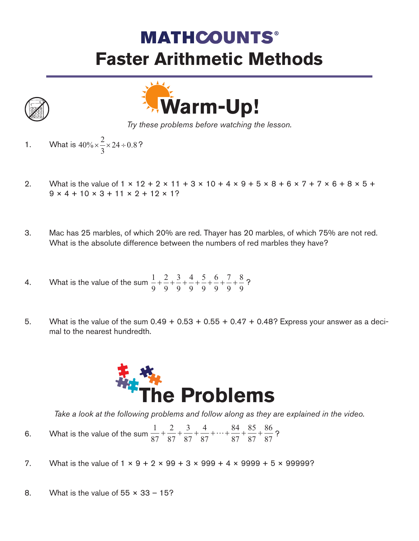## **MATHCOUNTS® Faster Arithmetic Methods**





*Try these problems before watching the lesson.*

- 1. What is  $40\% \times \frac{2}{5} \times 24 \div 0.8$ ?  $\% \times \frac{2}{3} \times 24 \div 0.8$
- 2. What is the value of  $1 \times 12 + 2 \times 11 + 3 \times 10 + 4 \times 9 + 5 \times 8 + 6 \times 7 + 7 \times 6 + 8 \times 5 +$  $9 \times 4 + 10 \times 3 + 11 \times 2 + 12 \times 12$
- 3. Mac has 25 marbles, of which 20% are red. Thayer has 20 marbles, of which 75% are not red. What is the absolute difference between the numbers of red marbles they have?
- 4. What is the value of the sum  $\frac{1}{2} + \frac{2}{3} + \frac{3}{4} + \frac{5}{4} + \frac{9}{4} + \frac{1}{4} + \frac{9}{4} + \frac{9}{4}$ ? 1 9 2 9 3 9 4 9 5 9 6 9 7 9 8  $+\frac{2}{9}+\frac{3}{9}+\frac{4}{9}+\frac{5}{9}+\frac{6}{9}+\frac{7}{9}+\frac{8}{9}$
- 5. What is the value of the sum  $0.49 + 0.53 + 0.55 + 0.47 + 0.48$ ? Express your answer as a decimal to the nearest hundredth.



*Take a look at the following problems and follow along as they are explained in the video.*

- 6. What is the value of the sum  $\frac{1}{27} + \frac{1}{27} + \frac{1}{27} + \frac{1}{27} + \frac{1}{27} + \frac{1}{27} + \frac{1}{27} + \frac{1}{27}$ ? 1 87 2 87 3 87 4 87 84 87 85 87 86  $+\frac{2}{87}+\frac{5}{87}+\frac{4}{87}+\cdots+\frac{64}{87}+\frac{85}{87}+\frac{80}{87}$
- 7. What is the value of  $1 \times 9 + 2 \times 99 + 3 \times 999 + 4 \times 9999 + 5 \times 99999$ ?
- 8. What is the value of  $55 \times 33 15$ ?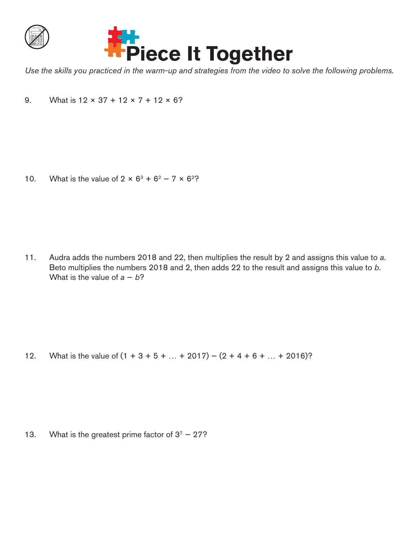



*Use the skills you practiced in the warm-up and strategies from the video to solve the following problems.*

9. What is  $12 \times 37 + 12 \times 7 + 12 \times 6$ ?

10. What is the value of  $2 \times 6^3 + 6^2 - 7 \times 6^2$ ?

11. Audra adds the numbers 2018 and 22, then multiplies the result by 2 and assigns this value to *a*. Beto multiplies the numbers 2018 and 2, then adds 22 to the result and assigns this value to *b*. What is the value of  $a - b$ ?

12. What is the value of  $(1 + 3 + 5 + ... + 2017) - (2 + 4 + 6 + ... + 2016)$ ?

13. What is the greatest prime factor of  $3^7 - 27$ ?